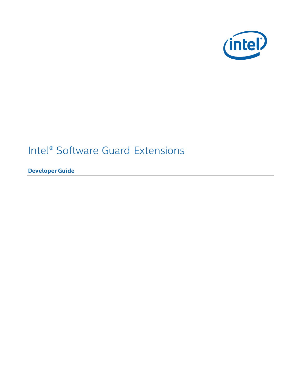

# Intel® Software Guard Extensions

**Developer Guide**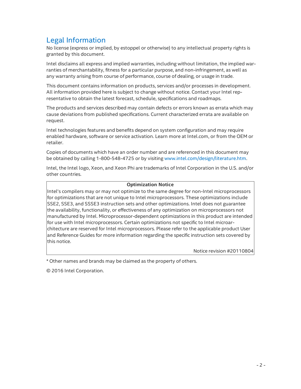# Legal Information

No license (express or implied, by estoppel or otherwise) to any intellectual property rights is granted by this document.

Intel disclaims all express and implied warranties, including without limitation, the implied warranties of merchantability, fitness for a particular purpose, and non-infringement, as well as any warranty arising from course of performance, course of dealing, or usage in trade.

This document contains information on products, services and/or processes in development. All information provided here is subject to change without notice. Contact your Intel representative to obtain the latest forecast, schedule, specifications and roadmaps.

The products and services described may contain defects or errors known as errata which may cause deviations from published specifications. Current characterized errata are available on request.

Intel technologies features and benefits depend on system configuration and may require enabled hardware, software or service activation. Learn more at Intel.com, or from the OEM or retailer.

Copies of documents which have an order number and are referenced in this document may be obtained by calling 1-800-548-4725 or by visiting [www.intel.com/design/literature.htm](http://www.intel.com/design/literature.htm).

Intel, the Intel logo, Xeon, and Xeon Phi are trademarks of Intel Corporation in the U.S. and/or other countries.

#### **Optimization Notice**

Intel's compilers may or may not optimize to the same degree for non-Intel microprocessors for optimizations that are not unique to Intel microprocessors. These optimizations include SSE2, SSE3, and SSSE3 instruction sets and other optimizations. Intel does not guarantee the availability, functionality, or effectiveness of any optimization on microprocessors not manufactured by Intel. Microprocessor-dependent optimizations in this product are intended for use with Intel microprocessors. Certain optimizations not specific to Intel microarchitecture are reserved for Intel microprocessors. Please refer to the applicable product User and Reference Guides for more information regarding the specific instruction sets covered by this notice.

Notice revision #20110804

\* Other names and brands may be claimed as the property of others.

© 2016 Intel Corporation.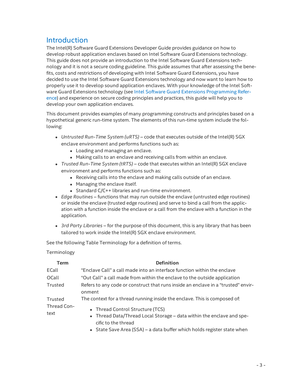# Introduction

The Intel(R) Software Guard Extensions Developer Guide provides guidance on how to develop robust application enclaves based on Intel Software Guard Extensions technology. This guide does not provide an introduction to the Intel Software Guard Extensions technology and it is not a secure coding guideline. This guide assumes that after assessing the benefits, costs and restrictions of developing with Intel Software Guard Extensions, you have decided to use the Intel Software Guard Extensions technology and now want to learn how to properly use it to develop sound application enclaves. With your knowledge of the Intel Software Guard Extensions technology (see Intel Software Guard Extensions [Programming](https://software.intel.com/en-us/isa-extensions/intel-sgx) Reference) and experience on secure coding principles and practices, this guide will help you to develop your own application enclaves.

This document provides examples of many programming constructs and principles based on a hypothetical generic run-time system. The elements of this run-time system include the following:

- <sup>l</sup> *Untrusted Run-Time System (uRTS)* code that executes outside of the Intel(R) SGX enclave environment and performs functions such as:
	- Loading and managing an enclave.
	- Making calls to an enclave and receiving calls from within an enclave.
- <sup>l</sup> *Trusted Run-Time System (tRTS)* code that executes within an Intel(R) SGX enclave environment and performs functions such as:
	- Receiving calls into the enclave and making calls outside of an enclave.
	- Managing the enclave itself.
	- Standard  $C/C++$  libraries and run-time environment.
- <sup>l</sup> *Edge Routines* functions that may run outside the enclave (untrusted edge routines) or inside the enclave (trusted edge routines) and serve to bind a call from the application with a function inside the enclave or a call from the enclave with a function in the application.
- <sup>l</sup> *3rd Party Libraries* for the purpose of this document, this is any library that has been tailored to work inside the Intel(R) SGX enclave environment.

See the following Table Terminology for a definition of terms.

Terminology

| Term                | <b>Definition</b>                                                                            |
|---------------------|----------------------------------------------------------------------------------------------|
| ECall               | "Enclave Call" a call made into an interface function within the enclave                     |
| OCall               | "Out Call" a call made from within the enclave to the outside application                    |
| Trusted             | Refers to any code or construct that runs inside an enclave in a "trusted" envir-<br>onment  |
| Trusted             | The context for a thread running inside the enclave. This is composed of:                    |
| Thread Con-<br>text | • Thread Control Structure (TCS)                                                             |
|                     | • Thread Data/Thread Local Storage – data within the enclave and spe-<br>cific to the thread |
|                     | • State Save Area (SSA) – a data buffer which holds register state when                      |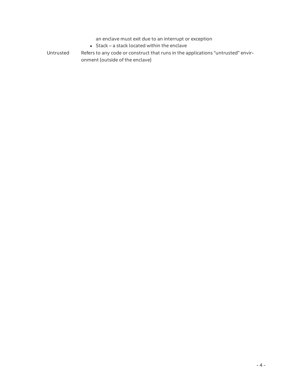an enclave must exit due to an interrupt or exception

- $\bullet$  Stack a stack located within the enclave
- Untrusted Refers to any code or construct that runs in the applications "untrusted" environment (outside of the enclave)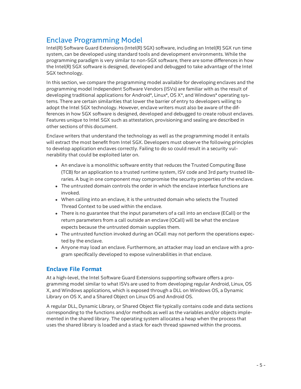# Enclave Programming Model

Intel(R) Software Guard Extensions (Intel(R) SGX) software, including an Intel(R) SGX run time system, can be developed using standard tools and development environments. While the programming paradigm is very similar to non-SGX software, there are some differences in how the Intel(R) SGX software is designed, developed and debugged to take advantage of the Intel SGX technology.

In this section, we compare the programming model available for developing enclaves and the programming model Independent Software Vendors (ISVs) are familiar with as the result of developing traditional applications for Android\*, Linux\*, OS X\*, and Windows\* operating systems. There are certain similarities that lower the barrier of entry to developers willing to adopt the Intel SGX technology. However, enclave writers must also be aware of the differences in how SGX software is designed, developed and debugged to create robust enclaves. Features unique to Intel SGX such as attestation, provisioning and sealing are described in other sections of this document.

Enclave writers that understand the technology as well as the programming model it entails will extract the most benefit from Intel SGX. Developers must observe the following principles to develop application enclaves correctly. Failing to do so could result in a security vulnerability that could be exploited later on.

- An enclave is a monolithic software entity that reduces the Trusted Computing Base (TCB) for an application to a trusted runtime system, ISV code and 3rd party trusted libraries. A bug in one component may compromise the security properties of the enclave.
- $\bullet$  The untrusted domain controls the order in which the enclave interface functions are invoked.
- When calling into an enclave, it is the untrusted domain who selects the Trusted Thread Context to be used within the enclave.
- There is no guarantee that the input parameters of a call into an enclave (ECall) or the return parameters from a call outside an enclave (OCall) will be what the enclave expects because the untrusted domain supplies them.
- The untrusted function invoked during an OCall may not perform the operations expected by the enclave.
- Anyone may load an enclave. Furthermore, an attacker may load an enclave with a program specifically developed to expose vulnerabilities in that enclave.

#### **Enclave File Format**

At a high-level, the Intel Software Guard Extensions supporting software offers a programming model similar to what ISVs are used to from developing regular Android, Linux, OS X, and Windows applications, which is exposed through a DLL on Windows OS, a Dynamic Library on OS X, and a Shared Object on Linux OS and Android OS.

A regular DLL, Dynamic Library, or Shared Object file typically contains code and data sections corresponding to the functions and/or methods as well as the variables and/or objects implemented in the shared library. The operating system allocates a heap when the process that uses the shared library is loaded and a stack for each thread spawned within the process.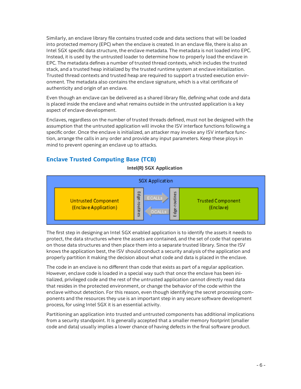Similarly, an enclave library file contains trusted code and data sections that will be loaded into protected memory (EPC) when the enclave is created. In an enclave file, there is also an Intel SGX specific data structure, the enclave metadata. The metadata is not loaded into EPC. Instead, it is used by the untrusted loader to determine how to properly load the enclave in EPC. The metadata defines a number of trusted thread contexts, which includes the trusted stack, and a trusted heap initialized by the trusted runtime system at enclave initialization. Trusted thread contexts and trusted heap are required to support a trusted execution environment. The metadata also contains the enclave signature, which is a vital certificate of authenticity and origin of an enclave.

Even though an enclave can be delivered as a shared library file, defining what code and data is placed inside the enclave and what remains outside in the untrusted application is a key aspect of enclave development.

Enclaves, regardless on the number of trusted threads defined, must not be designed with the assumption that the untrusted application will invoke the ISV interface functions following a specific order. Once the enclave is initialized, an attacker may invoke any ISV interface function, arrange the calls in any order and provide any input parameters. Keep these ploys in mind to prevent opening an enclave up to attacks.

### **Enclave Trusted Computing Base (TCB)**



**Intel(R) SGX Application**

The first step in designing an Intel SGX enabled application is to identify the assets it needs to protect, the data structures where the assets are contained, and the set of code that operates on those data structures and then place them into a separate trusted library. Since the ISV knows the application best, the ISV should conduct a security analysis of the application and properly partition it making the decision about what code and data is placed in the enclave.

The code in an enclave is no different than code that exists as part of a regular application. However, enclave code is loaded in a special way such that once the enclave has been initialized, privileged code and the rest of the untrusted application cannot directly read data that resides in the protected environment, or change the behavior of the code within the enclave without detection. For this reason, even though identifying the secret processing components and the resources they use is an important step in any secure software development process, for using Intel SGX it is an essential activity.

Partitioning an application into trusted and untrusted components has additional implications from a security standpoint. It is generally accepted that a smaller memory footprint (smaller code and data) usually implies a lower chance of having defects in the final software product.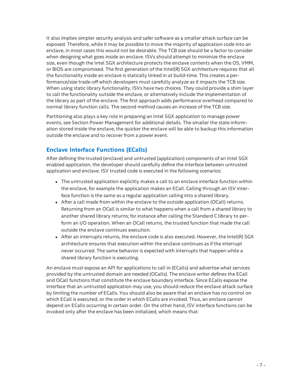It also implies simpler security analysis and safer software as a smaller attack surface can be exposed. Therefore, while it may be possible to move the majority of application code into an enclave, in most cases this would not be desirable. The TCB size should be a factor to consider when designing what goes inside an enclave. ISVs should attempt to minimize the enclave size, even though the Intel SGX architecture protects the enclave contents when the OS, VMM, or BIOS are compromised. The first generation of the Intel(R) SGX architecture requires that all the functionality inside an enclave is statically linked in at build-time. This creates a performance/size trade-off which developers must carefully analyze as it impacts the TCB size. When using static library functionality, ISVs have two choices. They could provide a shim layer to call the functionality outside the enclave, or alternatively include the implementation of the library as part of the enclave. The first approach adds performance overhead compared to normal library function calls. The second method causes an increase of the TCB size.

Partitioning also plays a key role in preparing an Intel SGX application to manage power events, see Section Power Management for additional details. The smaller the state information stored inside the enclave, the quicker the enclave will be able to backup this information outside the enclave and to recover from a power event.

### **Enclave Interface Functions (ECalls)**

After defining the trusted (enclave) and untrusted (application) components of an Intel SGX enabled application, the developer should carefully define the interface between untrusted application and enclave. ISV trusted code is executed in the following scenarios:

- The untrusted application explicitly makes a call to an enclave interface function within the enclave, for example the application makes an ECall. Calling through an ISV interface function is the same as a regular application calling into a shared library.
- After a call made from within the enclave to the outside application (OCall) returns. Returning from an OCall is similar to what happens when a call from a shared library to another shared library returns; for instance after calling the Standard C library to perform an I/O operation. When an OCall returns, the trusted function that made the call outside the enclave continues execution.
- After an interrupts returns, the enclave code is also executed. However, the Intel(R) SGX architecture ensures that execution within the enclave continues as if the interrupt never occurred. The same behavior is expected with interrupts that happen while a shared library function is executing.

An enclave must expose an API for applications to call in (ECalls) and advertise what services provided by the untrusted domain are needed (OCalls). The enclave writer defines the ECall and OCall functions that constitute the enclave boundary interface. Since ECalls expose the interface that an untrusted application may use, you should reduce the enclave attack surface by limiting the number of ECalls. You should also be aware that an enclave has no control on which ECall is executed, or the order in which ECalls are invoked. Thus, an enclave cannot depend on ECalls occurring in certain order. On the other hand, ISV interface functions can be invoked only after the enclave has been initialized, which means that: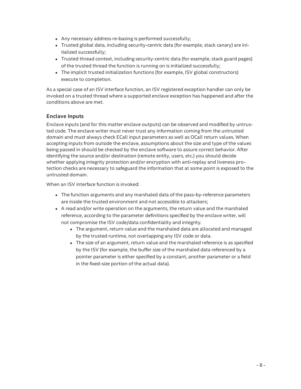- Any necessary address re-basing is performed successfully;
- Trusted global data, including security-centric data (for example, stack canary) are initialized successfully;
- Trusted thread context, including security-centric data (for example, stack guard pages) of the trusted thread the function is running on is initialized successfully;
- The implicit trusted initialization functions (for example, ISV global constructors) execute to completion.

As a special case of an ISV interface function, an ISV registered exception handler can only be invoked on a trusted thread where a supported enclave exception has happened and after the conditions above are met.

#### **Enclave Inputs**

Enclave inputs (and for this matter enclave outputs) can be observed and modified by untrusted code. The enclave writer must never trust any information coming from the untrusted domain and must always check ECall input parameters as well as OCall return values. When accepting inputs from outside the enclave, assumptions about the size and type of the values being passed in should be checked by the enclave software to assure correct behavior. After identifying the source and/or destination (remote entity, users, etc.) you should decide whether applying integrity protection and/or encryption with anti-replay and liveness protection checks are necessary to safeguard the information that at some point is exposed to the untrusted domain.

When an ISV interface function is invoked:

- The function arguments and any marshaled data of the pass-by-reference parameters are inside the trusted environment and not accessible to attackers;
- A read and/or write operation on the arguments, the return value and the marshaled reference, according to the parameter definitions specified by the enclave writer, will not compromise the ISV code/data confidentiality and integrity.
	- The argument, return value and the marshaled data are allocated and managed by the trusted runtime, not overlapping any ISV code or data.
	- The size of an argument, return value and the marshaled reference is as specified by the ISV (for example, the buffer size of the marshaled data referenced by a pointer parameter is either specified by a constant, another parameter or a field in the fixed-size portion of the actual data).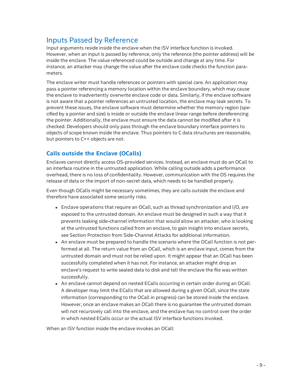# Inputs Passed by Reference

Input arguments reside inside the enclave when the ISV interface function is invoked. However, when an input is passed by reference, only the reference (the pointer address) will be inside the enclave. The value referenced could be outside and change at any time. For instance, an attacker may change the value after the enclave code checks the function parameters.

The enclave writer must handle references or pointers with special care. An application may pass a pointer referencing a memory location within the enclave boundary, which may cause the enclave to inadvertently overwrite enclave code or data. Similarly, if the enclave software is not aware that a pointer references an untrusted location, the enclave may leak secrets. To prevent these issues, the enclave software must determine whether the memory region (specified by a pointer and size) is inside or outside the enclave linear range before dereferencing the pointer. Additionally, the enclave must ensure the data cannot be modified after it is checked. Developers should only pass through the enclave boundary interface pointers to objects of scope known inside the enclave. Thus pointers to C data structures are reasonable, but pointers to C++ objects are not.

### **Calls outside the Enclave (OCalls)**

Enclaves cannot directly access OS-provided services. Instead, an enclave must do an OCall to an interface routine in the untrusted application. While calling outside adds a performance overhead, there is no loss of confidentiality. However, communication with the OS requires the release of data or the import of non-secret data, which needs to be handled properly.

Even though OCalls might be necessary sometimes, they are calls outside the enclave and therefore have associated some security risks.

- Enclave operations that require an OCall, such as thread synchronization and I/O, are exposed to the untrusted domain. An enclave must be designed in such a way that it prevents leaking side-channel information that would allow an attacker, who is looking at the untrusted functions called from an enclave, to gain insight into enclave secrets, see Section Protection from Side-Channel Attacks for additional information.
- An enclave must be prepared to handle the scenario where the OCall function is not performed at all. The return value from an OCall, which is an enclave input, comes from the untrusted domain and must not be relied upon. It might appear that an OCall has been successfully completed when it has not. For instance, an attacker might drop an enclave's request to write sealed data to disk and tell the enclave the file was written successfully.
- An enclave cannot depend on nested ECalls occurring in certain order during an OCall. A developer may limit the ECalls that are allowed during a given OCall, since the state information (corresponding to the OCall in progress) can be stored inside the enclave. However, once an enclave makes an OCall there is no guarantee the untrusted domain will not recursively call into the enclave, and the enclave has no control over the order in which nested ECalls occur or the actual ISV interface functions invoked.

When an ISV function inside the enclave invokes an OCall: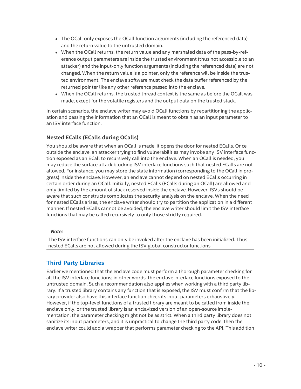- The OCall only exposes the OCall function arguments (including the referenced data) and the return value to the untrusted domain.
- When the OCall returns, the return value and any marshaled data of the pass-by-reference output parameters are inside the trusted environment (thus not accessible to an attacker) and the input-only function arguments (including the referenced data) are not changed. When the return value is a pointer, only the reference will be inside the trusted environment. The enclave software must check the data buffer referenced by the returned pointer like any other reference passed into the enclave.
- When the OCall returns, the trusted thread context is the same as before the OCall was made, except for the volatile registers and the output data on the trusted stack.

In certain scenarios, the enclave writer may avoid OCall functions by repartitioning the application and passing the information that an OCall is meant to obtain as an input parameter to an ISV interface function.

### **Nested ECalls (ECalls during OCalls)**

You should be aware that when an OCall is made, it opens the door for nested ECalls. Once outside the enclave, an attacker trying to find vulnerabilities may invoke any ISV interface function exposed as an ECall to recursively call into the enclave. When an OCall is needed, you may reduce the surface attack blocking ISV interface functions such that nested ECalls are not allowed. For instance, you may store the state information (corresponding to the OCall in progress) inside the enclave. However, an enclave cannot depend on nested ECalls occurring in certain order during an OCall. Initially, nested ECalls (ECalls during an OCall) are allowed and only limited by the amount of stack reserved inside the enclave. However, ISVs should be aware that such constructs complicates the security analysis on the enclave. When the need for nested ECalls arises, the enclave writer should try to partition the application in a different manner. If nested ECalls cannot be avoided, the enclave writer should limit the ISV interface functions that may be called recursively to only those strictly required.

#### *Note:*

The ISV interface functions can only be invoked after the enclave has been initialized. Thus nested ECalls are not allowed during the ISV global constructor functions.

### **Third Party Libraries**

Earlier we mentioned that the enclave code must perform a thorough parameter checking for all the ISV interface functions; in other words, the enclave interface functions exposed to the untrusted domain. Such a recommendation also applies when working with a third party library. If a trusted library contains any function that is exposed, the ISV must confirm that the library provider also have this interface function check its input parameters exhaustively. However, if the top-level functions of a trusted library are meant to be called from inside the enclave only, or the trusted library is an enclavized version of an open-source implementation, the parameter checking might not be as strict. When a third party library does not sanitize its input parameters, and it is unpractical to change the third party code, then the enclave writer could add a wrapper that performs parameter checking to the API. This addition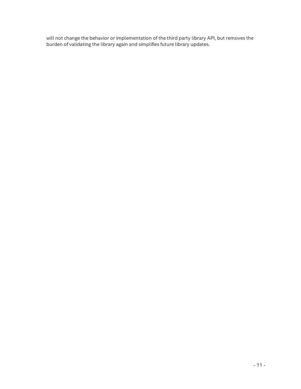will not change the behavior or implementation of the third party library API, but removes the burden of validating the library again and simplifies future library updates.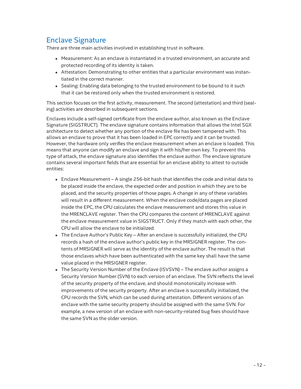# Enclave Signature

There are three main activities involved in establishing trust in software.

- Measurement: As an enclave is instantiated in a trusted environment, an accurate and protected recording of its identity is taken.
- Attestation: Demonstrating to other entities that a particular environment was instantiated in the correct manner.
- Sealing: Enabling data belonging to the trusted environment to be bound to it such that it can be restored only when the trusted environment is restored.

This section focuses on the first activity, measurement. The second (attestation) and third (sealing) activities are described in subsequent sections.

Enclaves include a self-signed certificate from the enclave author, also known as the Enclave Signature (SIGSTRUCT). The enclave signature contains information that allows the Intel SGX architecture to detect whether any portion of the enclave file has been tampered with. This allows an enclave to prove that it has been loaded in EPC correctly and it can be trusted. However, the hardware only verifies the enclave measurement when an enclave is loaded. This means that anyone can modify an enclave and sign it with his/her own key. To prevent this type of attack, the enclave signature also identifies the enclave author. The enclave signature contains several important fields that are essential for an enclave ability to attest to outside entities:

- Enclave Measurement A single 256-bit hash that identifies the code and initial data to be placed inside the enclave, the expected order and position in which they are to be placed, and the security properties of those pages. A change in any of these variables will result in a different measurement. When the enclave code/data pages are placed inside the EPC, the CPU calculates the enclave measurement and stores this value in the MRENCLAVE register. Then the CPU compares the content of MRENCLAVE against the enclave measurement value in SIGSTRUCT. Only if they match with each other, the CPU will allow the enclave to be initialized.
- The Enclave Author's Public Key After an enclave is successfully initialized, the CPU records a hash of the enclave author's public key in the MRSIGNER register. The contents of MRSIGNER will serve as the identity of the enclave author. The result is that those enclaves which have been authenticated with the same key shall have the same value placed in the MRSIGNER register.
- The Security Version Number of the Enclave (ISVSVN) The enclave author assigns a Security Version Number (SVN) to each version of an enclave. The SVN reflects the level of the security property of the enclave, and should monotonically increase with improvements of the security property. After an enclave is successfully initialized, the CPU records the SVN, which can be used during attestation. Different versions of an enclave with the same security property should be assigned with the same SVN. For example, a new version of an enclave with non-security-related bug fixes should have the same SVN as the older version.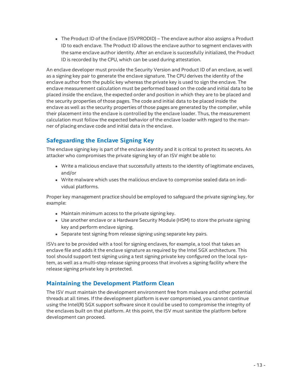• The Product ID of the Enclave (ISVPRODID) – The enclave author also assigns a Product ID to each enclave. The Product ID allows the enclave author to segment enclaves with the same enclave author identity. After an enclave is successfully initialized, the Product ID is recorded by the CPU, which can be used during attestation.

An enclave developer must provide the Security Version and Product ID of an enclave, as well as a signing key pair to generate the enclave signature. The CPU derives the identity of the enclave author from the public key whereas the private key is used to sign the enclave. The enclave measurement calculation must be performed based on the code and initial data to be placed inside the enclave, the expected order and position in which they are to be placed and the security properties of those pages. The code and initial data to be placed inside the enclave as well as the security properties of those pages are generated by the compiler, while their placement into the enclave is controlled by the enclave loader. Thus, the measurement calculation must follow the expected behavior of the enclave loader with regard to the manner of placing enclave code and initial data in the enclave.

# **Safeguarding the Enclave Signing Key**

The enclave signing key is part of the enclave identity and it is critical to protect its secrets. An attacker who compromises the private signing key of an ISV might be able to:

- Write a malicious enclave that successfully attests to the identity of legitimate enclaves, and/or
- <sup>l</sup> Write malware which uses the malicious enclave to compromise sealed data on individual platforms.

Proper key management practice should be employed to safeguard the private signing key, for example:

- Maintain minimum access to the private signing key.
- Use another enclave or a Hardware Security Module (HSM) to store the private signing key and perform enclave signing.
- Separate test signing from release signing using separate key pairs.

ISVs are to be provided with a tool for signing enclaves, for example, a tool that takes an enclave file and adds it the enclave signature as required by the Intel SGX architecture. This tool should support test signing using a test signing private key configured on the local system, as well as a multi-step release signing process that involves a signing facility where the release signing private key is protected.

### **Maintaining the Development Platform Clean**

The ISV must maintain the development environment free from malware and other potential threads at all times. If the development platform is ever compromised, you cannot continue using the Intel(R) SGX support software since it could be used to compromise the integrity of the enclaves built on that platform. At this point, the ISV must sanitize the platform before development can proceed.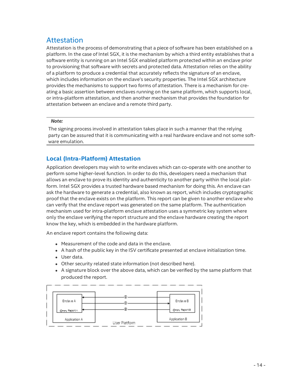# Attestation

Attestation is the process of demonstrating that a piece of software has been established on a platform. In the case of Intel SGX, it is the mechanism by which a third entity establishes that a software entity is running on an Intel SGX enabled platform protected within an enclave prior to provisioning that software with secrets and protected data. Attestation relies on the ability of a platform to produce a credential that accurately reflects the signature of an enclave, which includes information on the enclave's security properties. The Intel SGX architecture provides the mechanisms to support two forms of attestation. There is a mechanism for creating a basic assertion between enclaves running on the same platform, which supports local, or intra-platform attestation, and then another mechanism that provides the foundation for attestation between an enclave and a remote third party.

#### *Note:*

The signing process involved in attestation takes place in such a manner that the relying party can be assured that it is communicating with a real hardware enclave and not some software emulation.

### **Local (Intra-Platform) Attestation**

Application developers may wish to write enclaves which can co-operate with one another to perform some higher-level function. In order to do this, developers need a mechanism that allows an enclave to prove its identity and authenticity to another party within the local platform. Intel SGX provides a trusted hardware based mechanism for doing this. An enclave can ask the hardware to generate a credential, also known as report, which includes cryptographic proof that the enclave exists on the platform. This report can be given to another enclave who can verify that the enclave report was generated on the same platform. The authentication mechanism used for intra-platform enclave attestation uses a symmetric key system where only the enclave verifying the report structure and the enclave hardware creating the report know the key, which is embedded in the hardware platform.

An enclave report contains the following data:

- Measurement of the code and data in the enclave.
- A hash of the public key in the ISV certificate presented at enclave initialization time.
- User data.
- Other security related state information (not described here).
- A signature block over the above data, which can be verified by the same platform that produced the report.

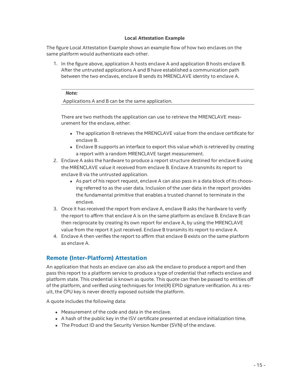#### **Local Attestation Example**

The figure Local Attestation Example shows an example flow of how two enclaves on the same platform would authenticate each other.

1. In the figure above, application A hosts enclave A and application B hosts enclave B. After the untrusted applications A and B have established a communication path between the two enclaves, enclave B sends its MRENCLAVE identity to enclave A.

#### *Note:*

Applications A and B can be the same application.

There are two methods the application can use to retrieve the MRENCLAVE measurement for the enclave, either:

- The application B retrieves the MRENCLAVE value from the enclave certificate for enclave B.
- Enclave B supports an interface to export this value which is retrieved by creating a report with a random MRENCLAVE target measurement.
- 2. Enclave A asks the hardware to produce a report structure destined for enclave B using the MRENCLAVE value it received from enclave B. Enclave A transmits its report to enclave B via the untrusted application.
	- As part of his report request, enclave A can also pass in a data block of its choosing referred to as the user data. Inclusion of the user data in the report provides the fundamental primitive that enables a trusted channel to terminate in the enclave.
- 3. Once it has received the report from enclave A, enclave B asks the hardware to verify the report to affirm that enclave A is on the same platform as enclave B. Enclave B can then reciprocate by creating its own report for enclave A, by using the MRENCLAVE value from the report it just received. Enclave B transmits its report to enclave A.
- 4. Enclave A then verifies the report to affirm that enclave B exists on the same platform as enclave A.

#### **Remote (Inter-Platform) Attestation**

An application that hosts an enclave can also ask the enclave to produce a report and then pass this report to a platform service to produce a type of credential that reflects enclave and platform state. This credential is known as quote. This quote can then be passed to entities off of the platform, and verified using techniques for Intel(R) EPID signature verification. As a result, the CPU key is never directly exposed outside the platform.

A quote includes the following data:

- **I.** Measurement of the code and data in the enclave
- A hash of the public key in the ISV certificate presented at enclave initialization time.
- The Product ID and the Security Version Number (SVN) of the enclave.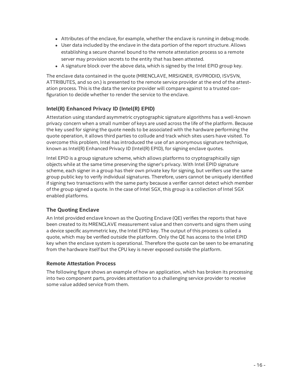- Attributes of the enclave, for example, whether the enclave is running in debug mode.
- User data included by the enclave in the data portion of the report structure. Allows establishing a secure channel bound to the remote attestation process so a remote server may provision secrets to the entity that has been attested.
- $\bullet$  A signature block over the above data, which is signed by the Intel EPID group key.

The enclave data contained in the quote (MRENCLAVE, MRSIGNER, ISVPRODID, ISVSVN, ATTRIBUTES, and so on.) is presented to the remote service provider at the end of the attestation process. This is the data the service provider will compare against to a trusted configuration to decide whether to render the service to the enclave.

#### **Intel(R) Enhanced Privacy ID (Intel(R) EPID)**

Attestation using standard asymmetric cryptographic signature algorithms has a well-known privacy concern when a small number of keys are used across the life of the platform. Because the key used for signing the quote needs to be associated with the hardware performing the quote operation, it allows third parties to collude and track which sites users have visited. To overcome this problem, Intel has introduced the use of an anonymous signature technique, known as Intel(R) Enhanced Privacy ID (Intel(R) EPID), for signing enclave quotes.

Intel EPID is a group signature scheme, which allows platforms to cryptographically sign objects while at the same time preserving the signer's privacy. With Intel EPID signature scheme, each signer in a group has their own private key for signing, but verifiers use the same group public key to verify individual signatures. Therefore, users cannot be uniquely identified if signing two transactions with the same party because a verifier cannot detect which member of the group signed a quote. In the case of Intel SGX, this group is a collection of Intel SGX enabled platforms.

#### **The Quoting Enclave**

An Intel provided enclave known as the Quoting Enclave (QE) verifies the reports that have been created to its MRENCLAVE measurement value and then converts and signs them using a device specific asymmetric key, the Intel EPID key. The output of this process is called a quote, which may be verified outside the platform. Only the QE has access to the Intel EPID key when the enclave system is operational. Therefore the quote can be seen to be emanating from the hardware itself but the CPU key is never exposed outside the platform.

#### <span id="page-15-0"></span>**Remote Attestation Process**

The following figure shows an example of how an application, which has broken its processing into two component parts, provides attestation to a challenging service provider to receive some value added service from them.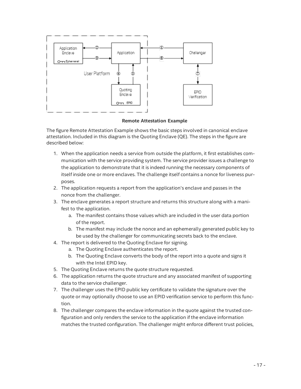

#### **Remote Attestation Example**

The figure Remote Attestation Example shows the basic steps involved in canonical enclave attestation. Included in this diagram is the Quoting Enclave (QE). The steps in the figure are described below:

- 1. When the application needs a service from outside the platform, it first establishes communication with the service providing system. The service provider issues a challenge to the application to demonstrate that it is indeed running the necessary components of itself inside one or more enclaves. The challenge itself contains a nonce for liveness purposes.
- 2. The application requests a report from the application's enclave and passes in the nonce from the challenger.
- 3. The enclave generates a report structure and returns this structure along with a manifest to the application.
	- a. The manifest contains those values which are included in the user data portion of the report.
	- b. The manifest may include the nonce and an ephemerally generated public key to be used by the challenger for communicating secrets back to the enclave.
- 4. The report is delivered to the Quoting Enclave for signing.
	- a. The Quoting Enclave authenticates the report.
	- b. The Quoting Enclave converts the body of the report into a quote and signs it with the Intel EPID key.
- 5. The Quoting Enclave returns the quote structure requested.
- 6. The application returns the quote structure and any associated manifest of supporting data to the service challenger.
- 7. The challenger uses the EPID public key certificate to validate the signature over the quote or may optionally choose to use an EPID verification service to perform this function.
- 8. The challenger compares the enclave information in the quote against the trusted configuration and only renders the service to the application if the enclave information matches the trusted configuration. The challenger might enforce different trust policies,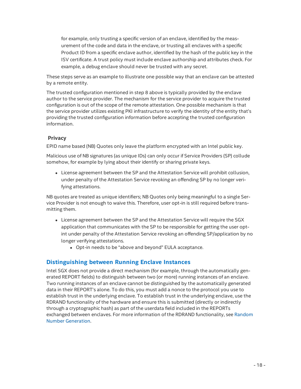for example, only trusting a specific version of an enclave, identified by the measurement of the code and data in the enclave, or trusting all enclaves with a specific Product ID from a specific enclave author, identified by the hash of the public key in the ISV certificate. A trust policy must include enclave authorship and attributes check. For example, a debug enclave should never be trusted with any secret.

These steps serve as an example to illustrate one possible way that an enclave can be attested by a remote entity.

The trusted configuration mentioned in step 8 above is typically provided by the enclave author to the service provider. The mechanism for the service provider to acquire the trusted configuration is out of the scope of the remote attestation. One possible mechanism is that the service provider utilizes existing PKI infrastructure to verify the identity of the entity that's providing the trusted configuration information before accepting the trusted configuration information.

#### **Privacy**

EPID name based (NB) Quotes only leave the platform encrypted with an Intel public key.

Malicious use of NB signatures (as unique IDs) can only occur if Service Providers (SP) collude somehow, for example by lying about their identify or sharing private keys.

• License agreement between the SP and the Attestation Service will prohibit collusion, under penalty of the Attestation Service revoking an offending SP by no longer verifying attestations.

NB quotes are treated as unique identifiers; NB Quotes only being meaningful to a single Service Provider is not enough to waive this. Therefore, user opt-in is still required before transmitting them.

- License agreement between the SP and the Attestation Service will require the SGX application that communicates with the SP to be responsible for getting the user optint under penalty of the Attestation Service revoking an offending SP/application by no longer verifying attestations.
	- Opt-in needs to be "above and beyond" EULA acceptance.

#### <span id="page-17-0"></span>**Distinguishing between Running Enclave Instances**

Intel SGX does not provide a direct mechanism (for example, through the automatically generated REPORT fields) to distinguish between two (or more) running instances of an enclave. Two running instances of an enclave cannot be distinguished by the automatically generated data in their REPORT's alone. To do this, you must add a nonce to the protocol you use to establish trust in the underlying enclave. To establish trust in the underlying enclave, use the RDRAND functionality of the hardware and ensure this is submitted (directly or indirectly through a cryptographic hash) as part of the userdata field included in the REPORTs exchanged between enclaves. For more information of the RDRAND [functionality,](#page-25-0) see Random Number Generation.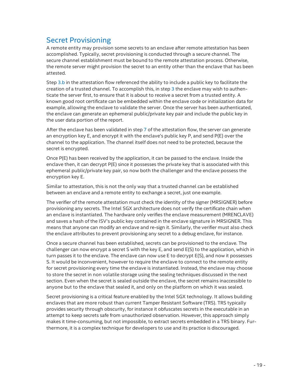# Secret Provisioning

A remote entity may provision some secrets to an enclave after remote attestation has been accomplished. Typically, secret provisioning is conducted through a secure channel. The secure channel establishment must be bound to the remote attestation process. Otherwise, the remote server might provision the secret to an entity other than the enclave that has been attested.

Step [3.b](#page-15-0) in the attestation flow referenced the ability to include a public key to facilitate the creation of a trusted channel. To accomplish this, in step [3](#page-15-0) the enclave may wish to authenticate the server first, to ensure that it is about to receive a secret from a trusted entity. A known good root certificate can be embedded within the enclave code or initialization data for example, allowing the enclave to validate the server. Once the server has been authenticated, the enclave can generate an ephemeral public/private key pair and include the public key in the user data portion of the report.

After the enclave has been validated in step [7](#page-15-0) of the attestation flow, the server can generate an encryption key E, and encrypt it with the enclave's public key P, and send P(E) over the channel to the application. The channel itself does not need to be protected, because the secret is encrypted.

Once P(E) has been received by the application, it can be passed to the enclave. Inside the enclave then, it can decrypt P(E) since it possesses the private key that is associated with this ephemeral public/private key pair, so now both the challenger and the enclave possess the encryption key E.

Similar to attestation, this is not the only way that a trusted channel can be established between an enclave and a remote entity to exchange a secret, just one example.

The verifier of the remote attestation must check the identity of the signer (MRSIGNER) before provisioning any secrets. The Intel SGX architecture does not verify the certificate chain when an enclave is instantiated. The hardware only verifies the enclave measurement (MRENCLAVE) and saves a hash of the ISV's public key contained in the enclave signature in MRSIGNER. This means that anyone can modify an enclave and re-sign it. Similarly, the verifier must also check the enclave attributes to prevent provisioning any secret to a debug enclave, for instance.

Once a secure channel has been established, secrets can be provisioned to the enclave. The challenger can now encrypt a secret S with the key E, and send E(S) to the application, which in turn passes it to the enclave. The enclave can now use E to decrypt E(S), and now it possesses S. It would be inconvenient, however to require the enclave to connect to the remote entity for secret provisioning every time the enclave is instantiated. Instead, the enclave may choose to store the secret in non volatile storage using the sealing techniques discussed in the next section. Even when the secret is sealed outside the enclave, the secret remains inaccessible to anyone but to the enclave that sealed it, and only on the platform on which it was sealed.

Secret provisioning is a critical feature enabled by the Intel SGX technology. It allows building enclaves that are more robust than current Tamper Resistant Software (TRS). TRS typically provides security through obscurity, for instance it obfuscates secrets in the executable in an attempt to keep secrets safe from unauthorized observation. However, this approach simply makes it time-consuming, but not impossible, to extract secrets embedded in a TRS binary. Furthermore, it is a complex technique for developers to use and its practice is discouraged.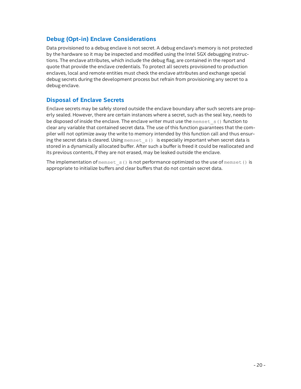### **Debug (Opt-in) Enclave Considerations**

Data provisioned to a debug enclave is not secret. A debug enclave's memory is not protected by the hardware so it may be inspected and modified using the Intel SGX debugging instructions. The enclave attributes, which include the debug flag, are contained in the report and quote that provide the enclave credentials. To protect all secrets provisioned to production enclaves, local and remote entities must check the enclave attributes and exchange special debug secrets during the development process but refrain from provisioning any secret to a debug enclave.

### **Disposal of Enclave Secrets**

Enclave secrets may be safely stored outside the enclave boundary after such secrets are properly sealed. However, there are certain instances where a secret, such as the seal key, needs to be disposed of inside the enclave. The enclave writer must use the  $m$ emset  $s$  () function to clear any variable that contained secret data. The use of this function guarantees that the compiler will not optimize away the write to memory intended by this function call and thus ensuring the secret data is cleared. Using memset  $s()$  is especially important when secret data is stored in a dynamically allocated buffer. After such a buffer is freed it could be reallocated and its previous contents, if they are not erased, may be leaked outside the enclave.

The implementation of memset  $s()$  is not performance optimized so the use of memset() is appropriate to initialize buffers and clear buffers that do not contain secret data.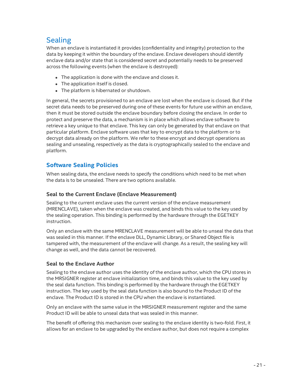# Sealing

When an enclave is instantiated it provides (confidentiality and integrity) protection to the data by keeping it within the boundary of the enclave. Enclave developers should identify enclave data and/or state that is considered secret and potentially needs to be preserved across the following events (when the enclave is destroyed):

- The application is done with the enclave and closes it.
- The application itself is closed.
- The platform is hibernated or shutdown.

In general, the secrets provisioned to an enclave are lost when the enclave is closed. But if the secret data needs to be preserved during one of these events for future use within an enclave, then it must be stored outside the enclave boundary before closing the enclave. In order to protect and preserve the data, a mechanism is in place which allows enclave software to retrieve a key unique to that enclave. This key can only be generated by that enclave on that particular platform. Enclave software uses that key to encrypt data to the platform or to decrypt data already on the platform. We refer to these encrypt and decrypt operations as sealing and unsealing, respectively as the data is cryptographically sealed to the enclave and platform.

### **Software Sealing Policies**

When sealing data, the enclave needs to specify the conditions which need to be met when the data is to be unsealed. There are two options available.

#### **Seal to the Current Enclave (Enclave Measurement)**

Sealing to the current enclave uses the current version of the enclave measurement (MRENCLAVE), taken when the enclave was created, and binds this value to the key used by the sealing operation. This binding is performed by the hardware through the EGETKEY instruction.

Only an enclave with the same MRENCLAVE measurement will be able to unseal the data that was sealed in this manner. If the enclave DLL, Dynamic Library, or Shared Object file is tampered with, the measurement of the enclave will change. As a result, the sealing key will change as well, and the data cannot be recovered.

#### **Seal to the Enclave Author**

Sealing to the enclave author uses the identity of the enclave author, which the CPU stores in the MRSIGNER register at enclave initialization time, and binds this value to the key used by the seal data function. This binding is performed by the hardware through the EGETKEY instruction. The key used by the seal data function is also bound to the Product ID of the enclave. The Product ID is stored in the CPU when the enclave is instantiated.

Only an enclave with the same value in the MRSIGNER measurement register and the same Product ID will be able to unseal data that was sealed in this manner.

The benefit of offering this mechanism over sealing to the enclave identity is two-fold. First, it allows for an enclave to be upgraded by the enclave author, but does not require a complex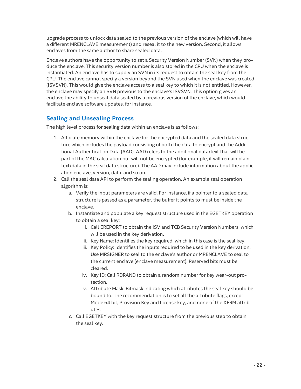upgrade process to unlock data sealed to the previous version of the enclave (which will have a different MRENCLAVE measurement) and reseal it to the new version. Second, it allows enclaves from the same author to share sealed data.

Enclave authors have the opportunity to set a Security Version Number (SVN) when they produce the enclave. This security version number is also stored in the CPU when the enclave is instantiated. An enclave has to supply an SVN in its request to obtain the seal key from the CPU. The enclave cannot specify a version beyond the SVN used when the enclave was created (ISVSVN). This would give the enclave access to a seal key to which it is not entitled. However, the enclave may specify an SVN previous to the enclave's ISVSVN. This option gives an enclave the ability to unseal data sealed by a previous version of the enclave, which would facilitate enclave software updates, for instance.

### **Sealing and Unsealing Process**

The high level process for sealing data within an enclave is as follows:

- 1. Allocate memory within the enclave for the encrypted data and the sealed data structure which includes the payload consisting of both the data to encrypt and the Additional Authentication Data (AAD). AAD refers to the additional data/text that will be part of the MAC calculation but will not be encrypted (for example, it will remain plain text/data in the seal data structure). The AAD may include information about the application enclave, version, data, and so on.
- 2. Call the seal data API to perform the sealing operation. An example seal operation algorithm is:
	- a. Verify the input parameters are valid. For instance, if a pointer to a sealed data structure is passed as a parameter, the buffer it points to must be inside the enclave.
	- b. Instantiate and populate a key request structure used in the EGETKEY operation to obtain a seal key:
		- i. Call EREPORT to obtain the ISV and TCB Security Version Numbers, which will be used in the key derivation.
		- ii. Key Name: Identifies the key required, which in this case is the seal key.
		- iii. Key Policy: Identifies the inputs required to be used in the key derivation. Use MRSIGNER to seal to the enclave's author or MRENCLAVE to seal to the current enclave (enclave measurement). Reserved bits must be cleared.
		- iv. Key ID: Call RDRAND to obtain a random number for key wear-out protection.
		- v. Attribute Mask: Bitmask indicating which attributes the seal key should be bound to. The recommendation is to set all the attribute flags, except Mode 64 bit, Provision Key and License key, and none of the XFRM attributes.
	- c. Call EGETKEY with the key request structure from the previous step to obtain the seal key.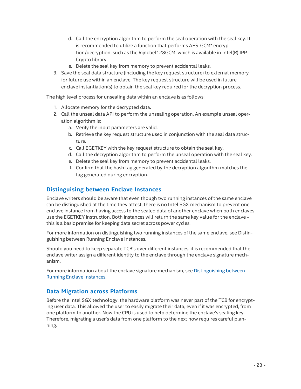- d. Call the encryption algorithm to perform the seal operation with the seal key. It is recommended to utilize a function that performs AES-GCM\* encryption/decryption, such as the Rijndael128GCM, which is available in Intel(R) IPP Crypto library.
- e. Delete the seal key from memory to prevent accidental leaks.
- 3. Save the seal data structure (including the key request structure) to external memory for future use within an enclave. The key request structure will be used in future enclave instantiation(s) to obtain the seal key required for the decryption process.

The high level process for unsealing data within an enclave is as follows:

- 1. Allocate memory for the decrypted data.
- 2. Call the unseal data API to perform the unsealing operation. An example unseal operation algorithm is:
	- a. Verify the input parameters are valid.
	- b. Retrieve the key request structure used in conjunction with the seal data structure.
	- c. Call EGETKEY with the key request structure to obtain the seal key.
	- d. Call the decryption algorithm to perform the unseal operation with the seal key.
	- e. Delete the seal key from memory to prevent accidental leaks.
	- f. Confirm that the hash tag generated by the decryption algorithm matches the tag generated during encryption.

#### **Distinguising between Enclave Instances**

Enclave writers should be aware that even though two running instances of the same enclave can be distinguished at the time they attest, there is no Intel SGX mechanism to prevent one enclave instance from having access to the sealed data of another enclave when both enclaves use the EGETKEY instruction. Both instances will return the same key value for the enclave – this is a basic premise for keeping data secret across power cycles.

For more information on distinguishing two running instances of the same enclave, see Distinguishing between Running Enclave Instances.

Should you need to keep separate TCB's over different instances, it is recommended that the enclave writer assign a different identity to the enclave through the enclave signature mechanism.

For more information about the enclave signature mechanism, see [Distinguishing](#page-17-0) between Running Enclave Instances.

#### **Data Migration across Platforms**

Before the Intel SGX technology, the hardware platform was never part of the TCB for encrypting user data. This allowed the user to easily migrate their data, even if it was encrypted, from one platform to another. Now the CPU is used to help determine the enclave's sealing key. Therefore, migrating a user's data from one platform to the next now requires careful planning.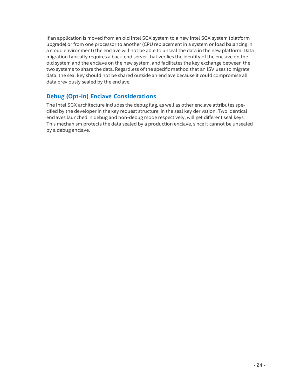If an application is moved from an old Intel SGX system to a new Intel SGX system (platform upgrade) or from one processor to another (CPU replacement in a system or load balancing in a cloud environment) the enclave will not be able to unseal the data in the new platform. Data migration typically requires a back-end server that verifies the identity of the enclave on the old system and the enclave on the new system, and facilitates the key exchange between the two systems to share the data. Regardless of the specific method that an ISV uses to migrate data, the seal key should not be shared outside an enclave because it could compromise all data previously sealed by the enclave.

### **Debug (Opt-in) Enclave Considerations**

The Intel SGX architecture includes the debug flag, as well as other enclave attributes specified by the developer in the key request structure, in the seal key derivation. Two identical enclaves launched in debug and non-debug mode respectively, will get different seal keys. This mechanism protects the data sealed by a production enclave, since it cannot be unsealed by a debug enclave.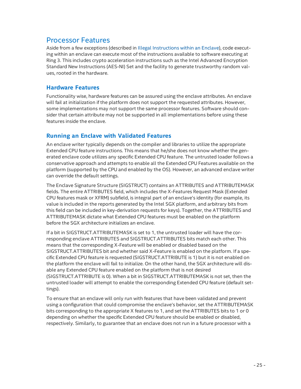# Processor Features

Aside from a few exceptions (described in Illegal [Instructions](#page-25-1) within an Enclave), code executing within an enclave can execute most of the instructions available to software executing at Ring 3. This includes crypto acceleration instructions such as the Intel Advanced Encryption Standard New Instructions (AES-NI) Set and the facility to generate trustworthy random values, rooted in the hardware.

#### **Hardware Features**

Functionality wise, hardware features can be assured using the enclave attributes. An enclave will fail at initialization if the platform does not support the requested attributes. However, some implementations may not support the same processor features. Software should consider that certain attribute may not be supported in all implementations before using these features inside the enclave.

#### **Running an Enclave with Validated Features**

An enclave writer typically depends on the compiler and libraries to utilize the appropriate Extended CPU feature instructions. This means that he/she does not know whether the generated enclave code utilizes any specific Extended CPU feature. The untrusted loader follows a conservative approach and attempts to enable all the Extended CPU Features available on the platform (supported by the CPU and enabled by the OS). However, an advanced enclave writer can override the default settings.

The Enclave Signature Structure (SIGSTRUCT) contains an ATTRIBUTES and ATTRIBUTEMASK fields. The entire ATTRIBUTES field, which includes the X-Features Request Mask (Extended CPU features mask or XFRM) subfield, is integral part of an enclave's identity (for example, its value is included in the reports generated by the Intel SGX platform, and arbitrary bits from this field can be included in key-derivation requests for keys). Together, the ATTRIBUTES and ATTRIBUTEMASK dictate what Extended CPU features must be enabled on the platform before the SGX architecture initializes an enclave.

If a bit in SIGSTRUCT.ATTRIBUTEMASK is set to 1, the untrusted loader will have the corresponding enclave ATTRIBUTES and SIGSTRUCT.ATTRIBUTES bits match each other. This means that the corresponding X-Feature will be enabled or disabled based on the SIGSTRUCT.ATTRIBUTES bit and whether said X-Feature is enabled on the platform. If a specific Extended CPU feature is requested (SIGSTRUCT.ATTRIBUTE is 1) but it is not enabled on the platform the enclave will fail to initialize. On the other hand, the SGX architecture will disable any Extended CPU feature enabled on the platform that is not desired (SIGSTRUCT.ATTRIBUTE is 0). When a bit in SIGSTRUCT.ATTRIBUTEMASK is not set, then the untrusted loader will attempt to enable the corresponding Extended CPU feature (default settings).

To ensure that an enclave will only run with features that have been validated and prevent using a configuration that could compromise the enclave's behavior, set the ATTRIBUTEMASK bits corresponding to the appropriate X features to 1, and set the ATTRIBUTES bits to 1 or 0 depending on whether the specific Extended CPU feature should be enabled or disabled, respectively. Similarly, to guarantee that an enclave does not run in a future processor with a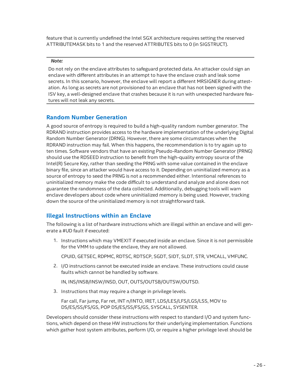feature that is currently undefined the Intel SGX architecture requires setting the reserved ATTRIBUTEMASK bits to 1 and the reserved ATTRIBUTES bits to 0 (in SIGSTRUCT).

#### *Note:*

Do not rely on the enclave attributes to safeguard protected data. An attacker could sign an enclave with different attributes in an attempt to have the enclave crash and leak some secrets. In this scenario, however, the enclave will report a different MRSIGNER during attestation. As long as secrets are not provisioned to an enclave that has not been signed with the ISV key, a well-designed enclave that crashes because it is run with unexpected hardware features will not leak any secrets.

#### <span id="page-25-0"></span>**Random Number Generation**

A good source of entropy is required to build a high-quality random number generator. The RDRAND instruction provides access to the hardware implementation of the underlying Digital Random Number Generator (DRNG). However, there are some circumstances when the RDRAND instruction may fail. When this happens, the recommendation is to try again up to ten times. Software vendors that have an existing Pseudo-Random Number Generator (PRNG) should use the RDSEED instruction to benefit from the high-quality entropy source of the Intel(R) Secure Key, rather than seeding the PRNG with some value contained in the enclave binary file, since an attacker would have access to it. Depending on uninitialized memory as a source of entropy to seed the PRNG is not a recommended either. Intentional references to uninitialized memory make the code difficult to understand and analyze and alone does not guarantee the randomness of the data collected. Additionally, debugging tools will warn enclave developers about code where uninitialized memory is being used. However, tracking down the source of the uninitialized memory is not straightforward task.

### <span id="page-25-1"></span>**Illegal Instructions within an Enclave**

The following is a list of hardware instructions which are illegal within an enclave and will generate a #UD fault if executed:

1. Instructions which may VMEXIT if executed inside an enclave. Since it is not permissible for the VMM to update the enclave, they are not allowed.

CPUID, GETSEC, RDPMC, RDTSC, RDTSCP, SGDT, SIDT, SLDT, STR, VMCALL, VMFUNC.

2. I/O instructions cannot be executed inside an enclave. These instructions could cause faults which cannot be handled by software.

IN, INS/INSB/INSW/INSD, OUT, OUTS/OUTSB/OUTSW/OUTSD.

3. Instructions that may require a change in privilege levels.

Far call, Far jump, Far ret, INT n/INTO, IRET, LDS/LES/LFS/LGS/LSS, MOV to DS/ES/SS/FS/GS, POP DS/ES/SS/FS/GS, SYSCALL, SYSENTER.

Developers should consider these instructions with respect to standard I/O and system functions, which depend on these HW instructions for their underlying implementation. Functions which gather host system attributes, perform I/O, or require a higher privilege level should be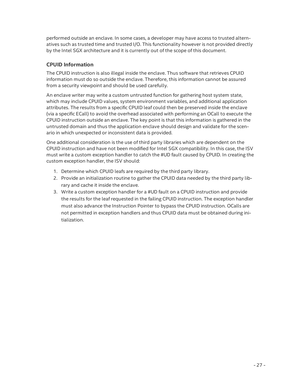performed outside an enclave. In some cases, a developer may have access to trusted alternatives such as trusted time and trusted I/O. This functionality however is not provided directly by the Intel SGX architecture and it is currently out of the scope of this document.

#### **CPUID Information**

The CPUID instruction is also illegal inside the enclave. Thus software that retrieves CPUID information must do so outside the enclave. Therefore, this information cannot be assured from a security viewpoint and should be used carefully.

An enclave writer may write a custom untrusted function for gathering host system state, which may include CPUID values, system environment variables, and additional application attributes. The results from a specific CPUID leaf could then be preserved inside the enclave (via a specific ECall) to avoid the overhead associated with performing an OCall to execute the CPUID instruction outside an enclave. The key point is that this information is gathered in the untrusted domain and thus the application enclave should design and validate for the scenario in which unexpected or inconsistent data is provided.

One additional consideration is the use of third party libraries which are dependent on the CPUID instruction and have not been modified for Intel SGX compatibility. In this case, the ISV must write a custom exception handler to catch the #UD fault caused by CPUID. In creating the custom exception handler, the ISV should:

- 1. Determine which CPUID leafs are required by the third party library.
- 2. Provide an initialization routine to gather the CPUID data needed by the third party library and cache it inside the enclave.
- 3. Write a custom exception handler for a #UD fault on a CPUID instruction and provide the results for the leaf requested in the failing CPUID instruction. The exception handler must also advance the Instruction Pointer to bypass the CPUID instruction. OCalls are not permitted in exception handlers and thus CPUID data must be obtained during initialization.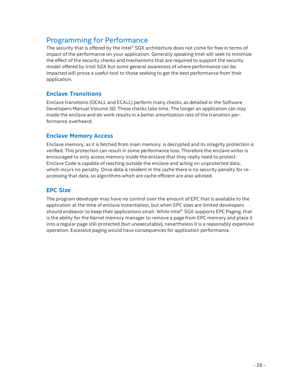# Programming for Performance

The security that is offered by the Intel® SGX architecture does not come for free in terms of impact of the performance on your application. Generally speaking Intel will seek to minimize the effect of the security checks and mechanisms that are required to support the security model offered by Intel SGX but some general awareness of where performance can be impacted will prove a useful tool to those seeking to get the best performance from their application.

### **Enclave Transitions**

Enclave transitions (OCALL and ECALL) perform many checks, as detailed in the Software Developers Manual Volume 3D. These checks take time. The longer an application can stay inside the enclave and do work results in a better amortization rate of the transition performance overheard.

#### **Enclave Memory Access**

Enclave memory, as it is fetched from main memory, is decrypted and its integrity protection is verified. This protection can result in some performance loss. Therefore the enclave writer is encouraged to only access memory inside the enclave that they really need to protect. Enclave Code is capable of reaching outside the enclave and acting on unprotected data, which incurs no penalty. Once data is resident in the cache there is no security penalty for reaccessing that data, so algorithms which are cache efficient are also advised.

### **EPC Size**

The program developer may have no control over the amount of EPC that is available to the application at the time of enclave instantiation, but when EPC sizes are limited developers should endeavor to keep their applications small. While Intel® SGX supports EPC Paging, that is the ability for the Kernel memory manager to remove a page from EPC memory and place it into a regular page still protected (but unexecutable), nevertheless it is a reasonably expensive operation. Excessive paging would have consequences for application performance.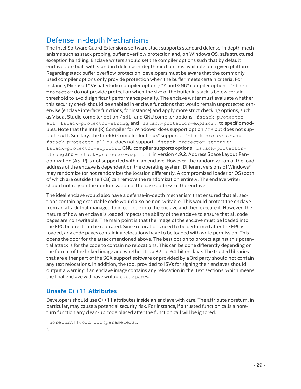# Defense In-depth Mechanisms

The Intel Software Guard Extensions software stack supports standard defense-in depth mechanisms such as stack probing, buffer overflow protection and, on Windows OS, safe structured exception handling. Enclave writers should set the compiler options such that by default enclaves are built with standard defense in-depth mechanisms available on a given platform. Regarding stack buffer overflow protection, developers must be aware that the commonly used compiler options only provide protection when the buffer meets certain criteria. For instance, Microsoft\* Visual Studio compiler option /GS and GNU\* compiler option –fstackprotector do not provide protection when the size of the buffer in stack is below certain threshold to avoid significant performance penalty. The enclave writer must evaluate whether this security check should be enabled in enclave functions that would remain unprotected otherwise (enclave interface functions, for instance) and apply more strict checking options, such as Visual Studio compiler option /sdl and GNU compiler options –fstack-protectorall, –fstack-protector-strong, and –fstack-protector-explicit, to specific modules. Note that the Intel(R) Compiler for Windows\* does support option /GS but does not support /sdl. Similary, the Intel(R) Compiler for Linux\* supports -fstack-protector and fstack-protector-all but does not support –fstack-protector-strong or – fstack-protector-explicit. GNU compiler supports options –fstack-protectorstrong and –fstack-protector-explicit in version 4.9.2. Address Space Layout Randomization (ASLR) is not supported within an enclave. However, the randomization of the load address of the enclave is dependent on the operating system. Different versions of Windows\* may randomize (or not randomize) the location differently. A compromised loader or OS (both of which are outside the TCB) can remove the randomization entirely. The enclave writer should not rely on the randomization of the base address of the enclave.

The ideal enclave would also have a defense-in-depth mechanism that ensured that all sections containing executable code would also be non-writable. This would protect the enclave from an attack that managed to inject code into the enclave and then execute it. However, the nature of how an enclave is loaded impacts the ability of the enclave to ensure that all code pages are non-writable. The main point is that the image of the enclave must be loaded into the EPC before it can be relocated. Since relocations need to be performed after the EPC is loaded, any code pages containing relocations have to be loaded with write permission. This opens the door for the attack mentioned above. The best option to protect against this potential attack is for the code to contain no relocations. This can be done differently depending on the format of the linked image and whether it is a 32- or 64-bit enclave. The trusted libraries that are either part of the SGX support software or provided by a 3rd party should not contain any text relocations. In addition, the tool provided to ISVs for signing their enclaves should output a warning if an enclave image contains any relocation in the .text sections, which means the final enclave will have writable code pages.

#### **Unsafe C++11 Attributes**

Developers should use C++11 attributes inside an enclave with care. The attribute noreturn, in particular, may cause a potencial security risk. For instance, if a trusted function calls a noreturn function any clean-up code placed after the function call will be ignored.

```
[noreturn]]void foo(parameters…)
{
```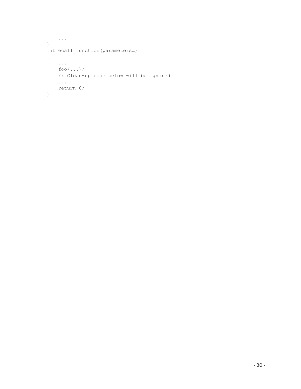```
...
}
int ecall_function(parameters…)
{
   ...
   foo(...);
   // Clean-up code below will be ignored
   ...
   return 0;
}
```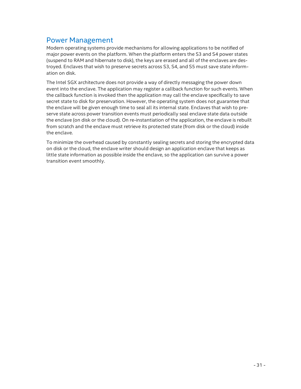# Power Management

Modern operating systems provide mechanisms for allowing applications to be notified of major power events on the platform. When the platform enters the S3 and S4 power states (suspend to RAM and hibernate to disk), the keys are erased and all of the enclaves are destroyed. Enclaves that wish to preserve secrets across S3, S4, and S5 must save state information on disk.

The Intel SGX architecture does not provide a way of directly messaging the power down event into the enclave. The application may register a callback function for such events. When the callback function is invoked then the application may call the enclave specifically to save secret state to disk for preservation. However, the operating system does not guarantee that the enclave will be given enough time to seal all its internal state. Enclaves that wish to preserve state across power transition events must periodically seal enclave state data outside the enclave (on disk or the cloud). On re-instantiation of the application, the enclave is rebuilt from scratch and the enclave must retrieve its protected state (from disk or the cloud) inside the enclave.

To minimize the overhead caused by constantly sealing secrets and storing the encrypted data on disk or the cloud, the enclave writer should design an application enclave that keeps as little state information as possible inside the enclave, so the application can survive a power transition event smoothly.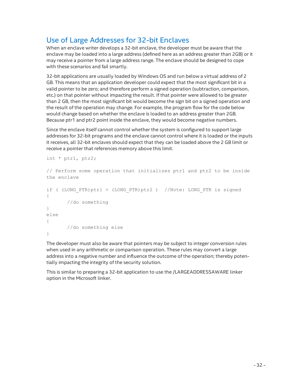# Use of Large Addresses for 32-bit Enclaves

When an enclave writer develops a 32-bit enclave, the developer must be aware that the enclave may be loaded into a large address (defined here as an address greater than 2GB) or it may receive a pointer from a large address range. The enclave should be designed to cope with these scenarios and fail smartly.

32-bit applications are usually loaded by Windows OS and run below a virtual address of 2 GB. This means that an application developer could expect that the most significant bit in a valid pointer to be zero; and therefore perform a signed operation (subtraction, comparison, etc.) on that pointer without impacting the result. If that pointer were allowed to be greater than 2 GB, then the most significant bit would become the sign bit on a signed operation and the result of the operation may change. For example, the program flow for the code below would change based on whether the enclave is loaded to an address greater than 2GB. Because ptr1 and ptr2 point inside the enclave, they would become negative numbers.

Since the enclave itself cannot control whether the system is configured to support large addresses for 32-bit programs and the enclave cannot control where it is loaded or the inputs it receives, all 32-bit enclaves should expect that they can be loaded above the 2 GB limit or receive a pointer that references memory above this limit.

```
int * ptr1, ptr2;
```
// Perform some operation that initializes ptr1 and ptr2 to be inside the enclave

```
if ( (LONG_PTR)ptr1 > (LONG_PTR)ptr2 ) //Note: LONG_PTR is signed
{
       //do something
}
else
{
       //do something else
}
```
The developer must also be aware that pointers may be subject to integer conversion rules when used in any arithmetic or comparison operation. These rules may convert a large address into a negative number and influence the outcome of the operation; thereby potentially impacting the integrity of the security solution.

This is similar to preparing a 32-bit application to use the /LARGEADDRESSAWARE linker option in the Microsoft linker.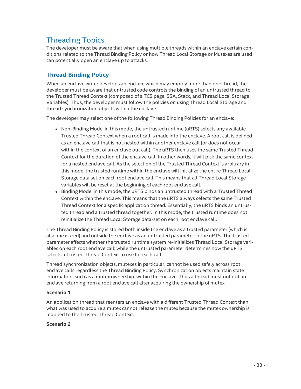# Threading Topics

The developer must be aware that when using multiple threads within an enclave certain conditions related to the Thread Binding Policy or how Thread Local Storage or Mutexes are used can potentially open an enclave up to attacks.

## **Thread Binding Policy**

When an enclave writer develops an enclave which may employ more than one thread, the developer must be aware that untrusted code controls the binding of an untrusted thread to the Trusted Thread Context (composed of a TCS page, SSA, Stack, and Thread Local Storage Variables). Thus, the developer must follow the policies on using Thread Local Storage and thread synchronization objects within the enclave.

The developer may select one of the following Thread Binding Policies for an enclave:

- Non-Binding Mode: in this mode, the untrusted runtime (uRTS) selects any available Trusted Thread Context when a root call is made into the enclave. A root call is defined as an enclave call that is not nested within another enclave call (or does not occur within the context of an enclave out call). The uRTS then uses the same Trusted Thread Context for the duration of the enclave call. In other words, it will pick the same context for a nested enclave call. As the selection of the Trusted Thread Context is arbitrary in this mode, the trusted runtime within the enclave will initialize the entire Thread Local Storage data set on each root enclave call. This means that all Thread Local Storage variables will be reset at the beginning of each root enclave call.
- Binding Mode: in this mode, the uRTS binds an untrusted thread with a Trusted Thread Context within the enclave. This means that the uRTS always selects the same Trusted Thread Context for a specific application thread. Essentially, the uRTS binds an untrusted thread and a trusted thread together. In this mode, the trusted runtime does not reinitialize the Thread Local Storage data-set on each root enclave call.

The Thread Binding Policy is stored both inside the enclave as a trusted parameter (which is also measured) and outside the enclave as an untrusted parameter in the uRTS. The trusted parameter affects whether the trusted runtime system re-initializes Thread Local Storage variables on each root enclave call; while the untrusted parameter determines how the uRTS selects a Trusted Thread Context to use for each call.

Thread synchronization objects, mutexes in particular, cannot be used safely across root enclave calls regardless the Thread Binding Policy. Synchronization objects maintain state information, such as a mutex ownership, within the enclave. Thus a thread must not exit an enclave returning from a root enclave call after acquiring the ownership of mutex.

#### **Scenario 1**

An application thread that reenters an enclave with a different Trusted Thread Context than what was used to acquire a mutex cannot release the mutex because the mutex ownership is mapped to the Trusted Thread Context.

#### **Scenario 2**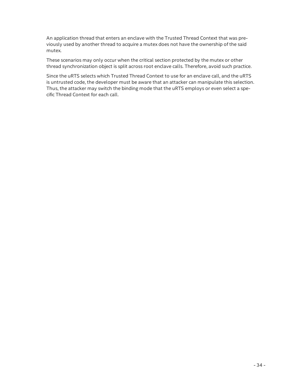An application thread that enters an enclave with the Trusted Thread Context that was previously used by another thread to acquire a mutex does not have the ownership of the said mutex.

These scenarios may only occur when the critical section protected by the mutex or other thread synchronization object is split across root enclave calls. Therefore, avoid such practice.

Since the uRTS selects which Trusted Thread Context to use for an enclave call, and the uRTS is untrusted code, the developer must be aware that an attacker can manipulate this selection. Thus, the attacker may switch the binding mode that the uRTS employs or even select a specific Thread Context for each call.